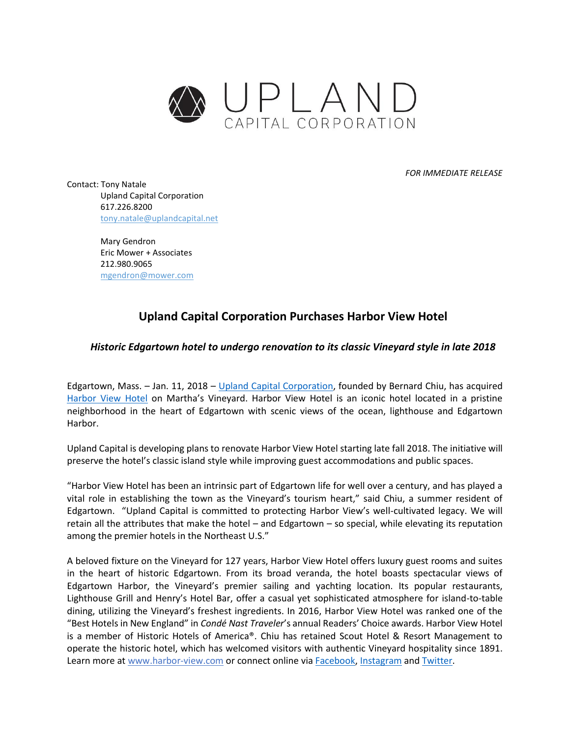

*FOR IMMEDIATE RELEASE*

Contact: Tony Natale Upland Capital Corporation 617.226.8200 tony.natale@uplandcapital.net

> Mary Gendron Eric Mower + Associates 212.980.9065 mgendron@mower.com

## **Upland Capital Corporation Purchases Harbor View Hotel**

## *Historic Edgartown hotel to undergo renovation to its classic Vineyard style in late 2018*

Edgartown, Mass. – Jan. 11, 2018 – [Upland Capital Corporation,](http://uplandcapital.net/) founded by Bernard Chiu, has acquired [Harbor View Hotel](http://www.harbor-view.com/) on Martha's Vineyard. Harbor View Hotel is an iconic hotel located in a pristine neighborhood in the heart of Edgartown with scenic views of the ocean, lighthouse and Edgartown Harbor.

Upland Capital is developing plans to renovate Harbor View Hotel starting late fall 2018. The initiative will preserve the hotel's classic island style while improving guest accommodations and public spaces.

"Harbor View Hotel has been an intrinsic part of Edgartown life for well over a century, and has played a vital role in establishing the town as the Vineyard's tourism heart," said Chiu, a summer resident of Edgartown. "Upland Capital is committed to protecting Harbor View's well-cultivated legacy. We will retain all the attributes that make the hotel – and Edgartown – so special, while elevating its reputation among the premier hotels in the Northeast U.S."

A beloved fixture on the Vineyard for 127 years, Harbor View Hotel offers luxury guest rooms and suites in the heart of historic Edgartown. From its broad veranda, the hotel boasts spectacular views of Edgartown Harbor, the Vineyard's premier sailing and yachting location. Its popular restaurants, Lighthouse Grill and Henry's Hotel Bar, offer a casual yet sophisticated atmosphere for island-to-table dining, utilizing the Vineyard's freshest ingredients. In 2016, Harbor View Hotel was ranked one of the "Best Hotels in New England" in *Condé Nast Traveler*'s annual Readers' Choice awards. Harbor View Hotel is a member of Historic Hotels of America®. Chiu has retained Scout Hotel & Resort Management to operate the historic hotel, which has welcomed visitors with authentic Vineyard hospitality since 1891. Learn more at [www.harbor-view.com](http://www.harbor-view.com/) or connect online vi[a Facebook,](https://www.facebook.com/HarborViewHotel/) [Instagram](https://www.instagram.com/harborviewmv/) an[d Twitter.](https://twitter.com/HarborViewMV?ref_src=twsrc%5Egoogle%7Ctwcamp%5Eserp%7Ctwgr%5Eauthor)